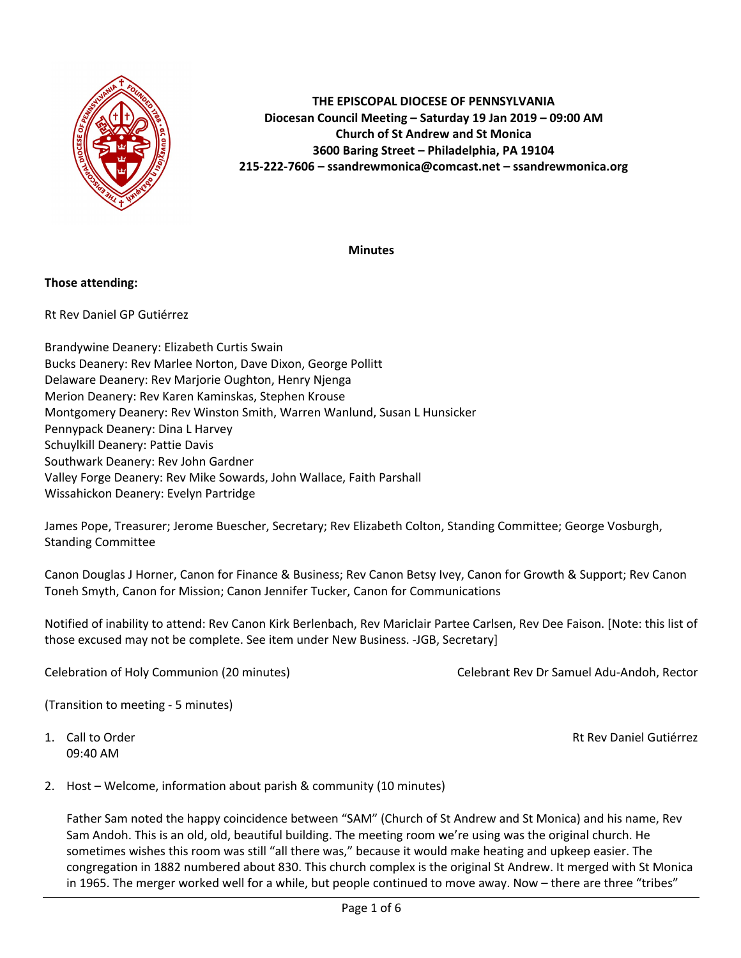

# **THE EPISCOPAL DIOCESE OF PENNSYLVANIA Diocesan Council Meeting – Saturday 19 Jan 2019 – 09:00 AM Church of St Andrew and St Monica 3600 Baring Street – Philadelphia, PA 19104 215-222-7606 – ssandrewmonica@comcast.net – ssandrewmonica.org**

**Minutes**

# **Those attending:**

Rt Rev Daniel GP Gutiérrez

Brandywine Deanery: Elizabeth Curtis Swain Bucks Deanery: Rev Marlee Norton, Dave Dixon, George Pollitt Delaware Deanery: Rev Marjorie Oughton, Henry Njenga Merion Deanery: Rev Karen Kaminskas, Stephen Krouse Montgomery Deanery: Rev Winston Smith, Warren Wanlund, Susan L Hunsicker Pennypack Deanery: Dina L Harvey Schuylkill Deanery: Pattie Davis Southwark Deanery: Rev John Gardner Valley Forge Deanery: Rev Mike Sowards, John Wallace, Faith Parshall Wissahickon Deanery: Evelyn Partridge

James Pope, Treasurer; Jerome Buescher, Secretary; Rev Elizabeth Colton, Standing Committee; George Vosburgh, Standing Committee

Canon Douglas J Horner, Canon for Finance & Business; Rev Canon Betsy Ivey, Canon for Growth & Support; Rev Canon Toneh Smyth, Canon for Mission; Canon Jennifer Tucker, Canon for Communications

Notified of inability to attend: Rev Canon Kirk Berlenbach, Rev Mariclair Partee Carlsen, Rev Dee Faison. [Note: this list of those excused may not be complete. See item under New Business. -JGB, Secretary]

Celebration of Holy Communion (20 minutes) Celebrant Rev Dr Samuel Adu-Andoh, Rector

(Transition to meeting - 5 minutes)

09:40 AM

1. Call to Order Rt Rev Daniel Gutiérrez

2. Host – Welcome, information about parish & community (10 minutes)

Father Sam noted the happy coincidence between "SAM" (Church of St Andrew and St Monica) and his name, Rev Sam Andoh. This is an old, old, beautiful building. The meeting room we're using was the original church. He sometimes wishes this room was still "all there was," because it would make heating and upkeep easier. The congregation in 1882 numbered about 830. This church complex is the original St Andrew. It merged with St Monica in 1965. The merger worked well for a while, but people continued to move away. Now – there are three "tribes"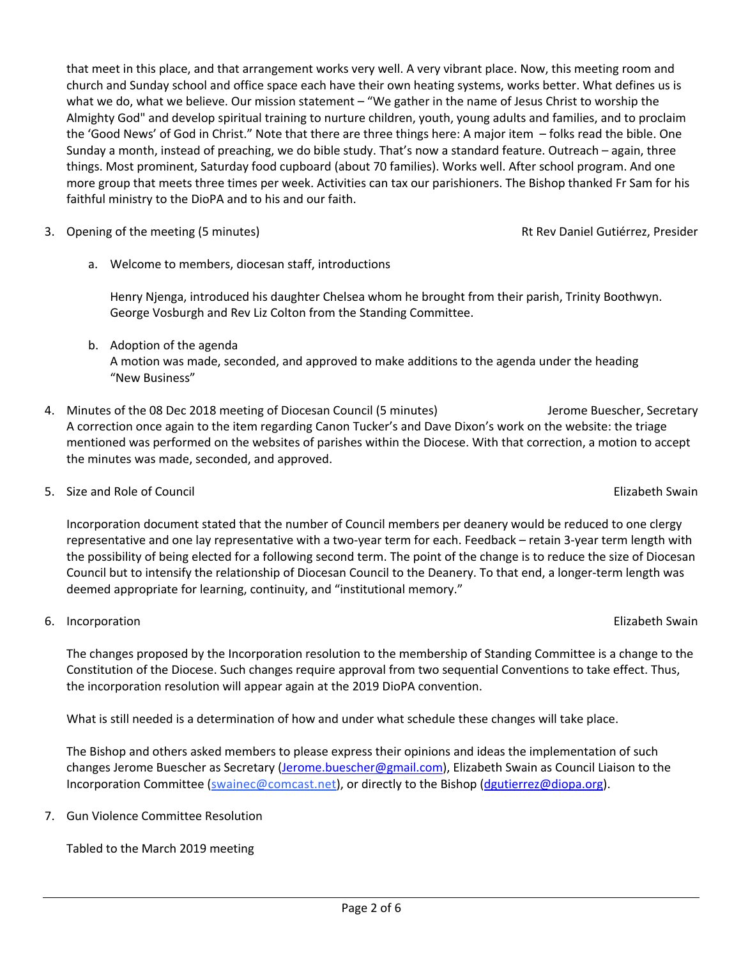Page 2 of 6

that meet in this place, and that arrangement works very well. A very vibrant place. Now, this meeting room and church and Sunday school and office space each have their own heating systems, works better. What defines us is what we do, what we believe. Our mission statement – "We gather in the name of Jesus Christ to worship the Almighty God" and develop spiritual training to nurture children, youth, young adults and families, and to proclaim the 'Good News' of God in Christ." Note that there are three things here: A major item – folks read the bible. One Sunday a month, instead of preaching, we do bible study. That's now a standard feature. Outreach – again, three things. Most prominent, Saturday food cupboard (about 70 families). Works well. After school program. And one more group that meets three times per week. Activities can tax our parishioners. The Bishop thanked Fr Sam for his faithful ministry to the DioPA and to his and our faith.

- 3. Opening of the meeting (5 minutes) **Rt Rev Daniel Gutiérrez, Presider** Rt Rev Daniel Gutiérrez, Presider
	- a. Welcome to members, diocesan staff, introductions

Henry Njenga, introduced his daughter Chelsea whom he brought from their parish, Trinity Boothwyn. George Vosburgh and Rev Liz Colton from the Standing Committee.

- b. Adoption of the agenda A motion was made, seconded, and approved to make additions to the agenda under the heading "New Business"
- 4. Minutes of the 08 Dec 2018 meeting of Diocesan Council (5 minutes) Jerome Buescher, Secretary A correction once again to the item regarding Canon Tucker's and Dave Dixon's work on the website: the triage mentioned was performed on the websites of parishes within the Diocese. With that correction, a motion to accept the minutes was made, seconded, and approved.
- 5. Size and Role of Council Elizabeth Swain

Incorporation document stated that the number of Council members per deanery would be reduced to one clergy representative and one lay representative with a two-year term for each. Feedback – retain 3-year term length with the possibility of being elected for a following second term. The point of the change is to reduce the size of Diocesan Council but to intensify the relationship of Diocesan Council to the Deanery. To that end, a longer-term length was deemed appropriate for learning, continuity, and "institutional memory."

6. Incorporation Elizabeth Swain

The changes proposed by the Incorporation resolution to the membership of Standing Committee is a change to the Constitution of the Diocese. Such changes require approval from two sequential Conventions to take effect. Thus, the incorporation resolution will appear again at the 2019 DioPA convention.

What is still needed is a determination of how and under what schedule these changes will take place.

The Bishop and others asked members to please express their opinions and ideas the implementation of such changes Jerome Buescher as Secretary (Jerome.buescher@gmail.com), Elizabeth Swain as Council Liaison to the Incorporation Committee (swainec@comcast.net), or directly to the Bishop (dgutierrez@diopa.org).

7. Gun Violence Committee Resolution

Tabled to the March 2019 meeting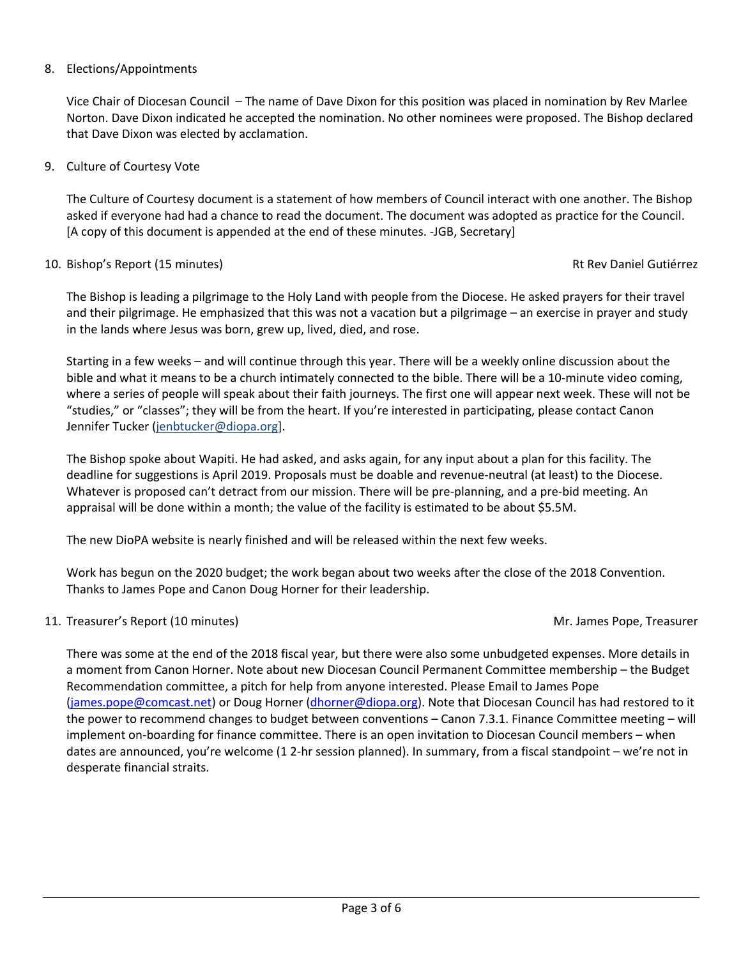# 8. Elections/Appointments

Vice Chair of Diocesan Council – The name of Dave Dixon for this position was placed in nomination by Rev Marlee Norton. Dave Dixon indicated he accepted the nomination. No other nominees were proposed. The Bishop declared that Dave Dixon was elected by acclamation.

# 9. Culture of Courtesy Vote

The Culture of Courtesy document is a statement of how members of Council interact with one another. The Bishop asked if everyone had had a chance to read the document. The document was adopted as practice for the Council. [A copy of this document is appended at the end of these minutes. -JGB, Secretary]

## 10. Bishop's Report (15 minutes) Rt Rev Daniel Gutiérrez et al. et al. et al. et al. et al. et al. et al. et a

The Bishop is leading a pilgrimage to the Holy Land with people from the Diocese. He asked prayers for their travel and their pilgrimage. He emphasized that this was not a vacation but a pilgrimage – an exercise in prayer and study in the lands where Jesus was born, grew up, lived, died, and rose.

Starting in a few weeks – and will continue through this year. There will be a weekly online discussion about the bible and what it means to be a church intimately connected to the bible. There will be a 10-minute video coming, where a series of people will speak about their faith journeys. The first one will appear next week. These will not be "studies," or "classes"; they will be from the heart. If you're interested in participating, please contact Canon Jennifer Tucker (jenbtucker@diopa.org].

The Bishop spoke about Wapiti. He had asked, and asks again, for any input about a plan for this facility. The deadline for suggestions is April 2019. Proposals must be doable and revenue-neutral (at least) to the Diocese. Whatever is proposed can't detract from our mission. There will be pre-planning, and a pre-bid meeting. An appraisal will be done within a month; the value of the facility is estimated to be about \$5.5M.

The new DioPA website is nearly finished and will be released within the next few weeks.

Work has begun on the 2020 budget; the work began about two weeks after the close of the 2018 Convention. Thanks to James Pope and Canon Doug Horner for their leadership.

# 11. Treasurer's Report (10 minutes) and the state of the state of the Mr. James Pope, Treasurer

There was some at the end of the 2018 fiscal year, but there were also some unbudgeted expenses. More details in a moment from Canon Horner. Note about new Diocesan Council Permanent Committee membership – the Budget Recommendation committee, a pitch for help from anyone interested. Please Email to James Pope (james.pope@comcast.net) or Doug Horner (dhorner@diopa.org). Note that Diocesan Council has had restored to it the power to recommend changes to budget between conventions – Canon 7.3.1. Finance Committee meeting – will implement on-boarding for finance committee. There is an open invitation to Diocesan Council members – when dates are announced, you're welcome (1 2-hr session planned). In summary, from a fiscal standpoint – we're not in desperate financial straits.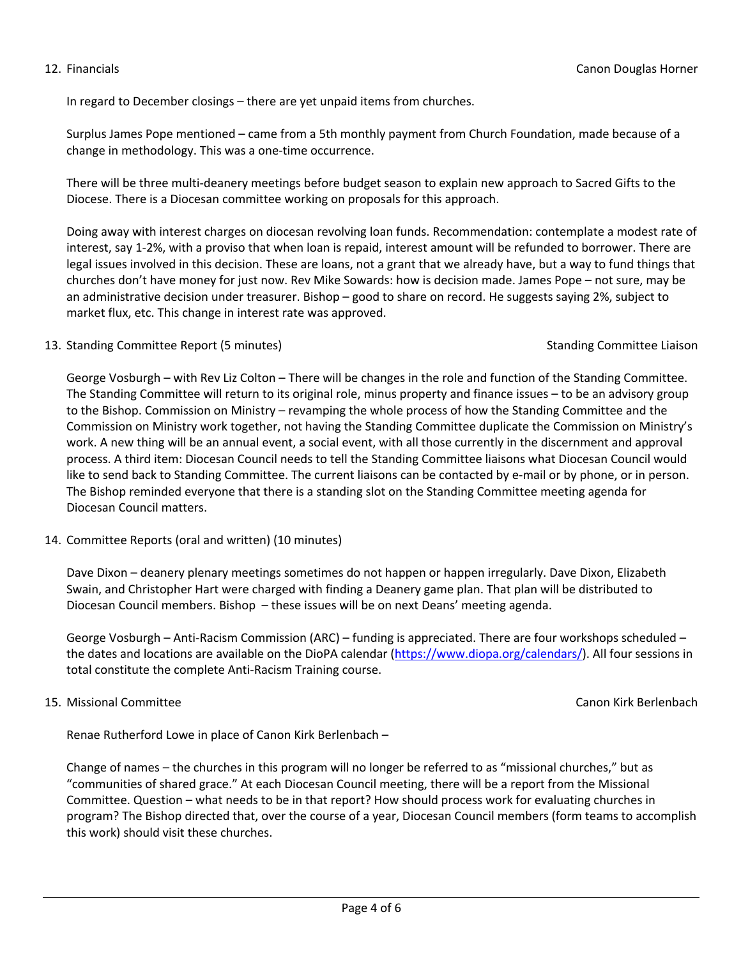In regard to December closings – there are yet unpaid items from churches.

Surplus James Pope mentioned – came from a 5th monthly payment from Church Foundation, made because of a change in methodology. This was a one-time occurrence.

There will be three multi-deanery meetings before budget season to explain new approach to Sacred Gifts to the Diocese. There is a Diocesan committee working on proposals for this approach.

Doing away with interest charges on diocesan revolving loan funds. Recommendation: contemplate a modest rate of interest, say 1-2%, with a proviso that when loan is repaid, interest amount will be refunded to borrower. There are legal issues involved in this decision. These are loans, not a grant that we already have, but a way to fund things that churches don't have money for just now. Rev Mike Sowards: how is decision made. James Pope – not sure, may be an administrative decision under treasurer. Bishop – good to share on record. He suggests saying 2%, subject to market flux, etc. This change in interest rate was approved.

## 13. Standing Committee Report (5 minutes) Standing Committee Liaison

George Vosburgh – with Rev Liz Colton – There will be changes in the role and function of the Standing Committee. The Standing Committee will return to its original role, minus property and finance issues – to be an advisory group to the Bishop. Commission on Ministry – revamping the whole process of how the Standing Committee and the Commission on Ministry work together, not having the Standing Committee duplicate the Commission on Ministry's work. A new thing will be an annual event, a social event, with all those currently in the discernment and approval process. A third item: Diocesan Council needs to tell the Standing Committee liaisons what Diocesan Council would like to send back to Standing Committee. The current liaisons can be contacted by e-mail or by phone, or in person. The Bishop reminded everyone that there is a standing slot on the Standing Committee meeting agenda for Diocesan Council matters.

14. Committee Reports (oral and written) (10 minutes)

Dave Dixon – deanery plenary meetings sometimes do not happen or happen irregularly. Dave Dixon, Elizabeth Swain, and Christopher Hart were charged with finding a Deanery game plan. That plan will be distributed to Diocesan Council members. Bishop – these issues will be on next Deans' meeting agenda.

George Vosburgh – Anti-Racism Commission (ARC) – funding is appreciated. There are four workshops scheduled – the dates and locations are available on the DioPA calendar (https://www.diopa.org/calendars/). All four sessions in total constitute the complete Anti-Racism Training course.

## 15. Missional Committee Canon Kirk Berlenbach

Renae Rutherford Lowe in place of Canon Kirk Berlenbach –

Change of names – the churches in this program will no longer be referred to as "missional churches," but as "communities of shared grace." At each Diocesan Council meeting, there will be a report from the Missional Committee. Question – what needs to be in that report? How should process work for evaluating churches in program? The Bishop directed that, over the course of a year, Diocesan Council members (form teams to accomplish this work) should visit these churches.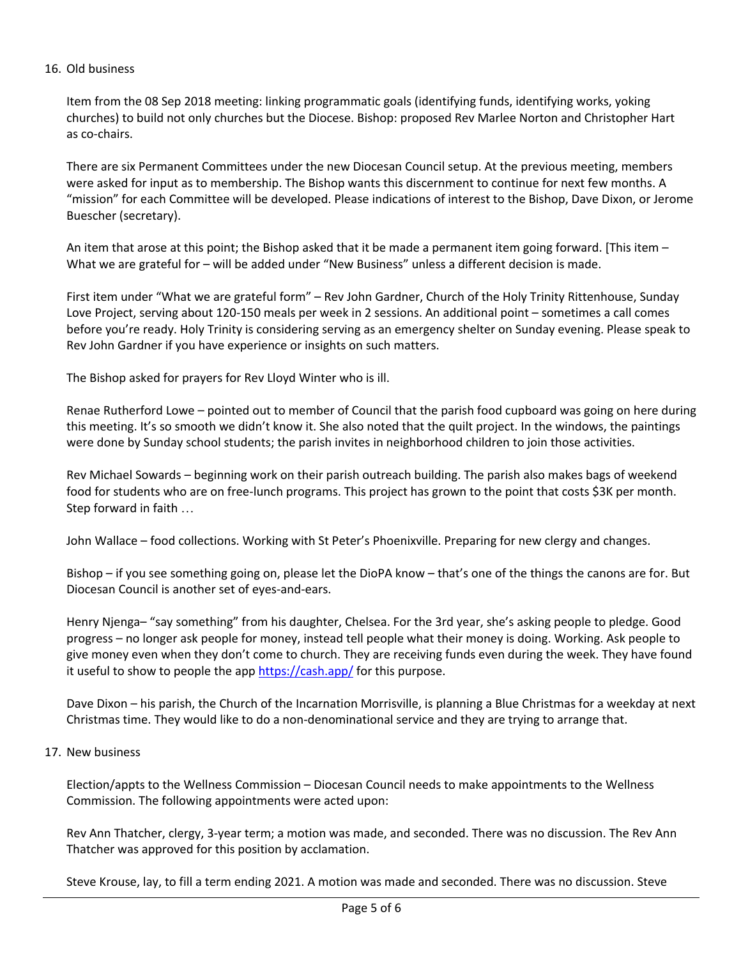# 16. Old business

Item from the 08 Sep 2018 meeting: linking programmatic goals (identifying funds, identifying works, yoking churches) to build not only churches but the Diocese. Bishop: proposed Rev Marlee Norton and Christopher Hart as co-chairs.

There are six Permanent Committees under the new Diocesan Council setup. At the previous meeting, members were asked for input as to membership. The Bishop wants this discernment to continue for next few months. A "mission" for each Committee will be developed. Please indications of interest to the Bishop, Dave Dixon, or Jerome Buescher (secretary).

An item that arose at this point; the Bishop asked that it be made a permanent item going forward. [This item – What we are grateful for – will be added under "New Business" unless a different decision is made.

First item under "What we are grateful form" – Rev John Gardner, Church of the Holy Trinity Rittenhouse, Sunday Love Project, serving about 120-150 meals per week in 2 sessions. An additional point – sometimes a call comes before you're ready. Holy Trinity is considering serving as an emergency shelter on Sunday evening. Please speak to Rev John Gardner if you have experience or insights on such matters.

The Bishop asked for prayers for Rev Lloyd Winter who is ill.

Renae Rutherford Lowe – pointed out to member of Council that the parish food cupboard was going on here during this meeting. It's so smooth we didn't know it. She also noted that the quilt project. In the windows, the paintings were done by Sunday school students; the parish invites in neighborhood children to join those activities.

Rev Michael Sowards – beginning work on their parish outreach building. The parish also makes bags of weekend food for students who are on free-lunch programs. This project has grown to the point that costs \$3K per month. Step forward in faith …

John Wallace – food collections. Working with St Peter's Phoenixville. Preparing for new clergy and changes.

Bishop – if you see something going on, please let the DioPA know – that's one of the things the canons are for. But Diocesan Council is another set of eyes-and-ears.

Henry Njenga– "say something" from his daughter, Chelsea. For the 3rd year, she's asking people to pledge. Good progress – no longer ask people for money, instead tell people what their money is doing. Working. Ask people to give money even when they don't come to church. They are receiving funds even during the week. They have found it useful to show to people the app https://cash.app/ for this purpose.

Dave Dixon – his parish, the Church of the Incarnation Morrisville, is planning a Blue Christmas for a weekday at next Christmas time. They would like to do a non-denominational service and they are trying to arrange that.

## 17. New business

Election/appts to the Wellness Commission – Diocesan Council needs to make appointments to the Wellness Commission. The following appointments were acted upon:

Rev Ann Thatcher, clergy, 3-year term; a motion was made, and seconded. There was no discussion. The Rev Ann Thatcher was approved for this position by acclamation.

Steve Krouse, lay, to fill a term ending 2021. A motion was made and seconded. There was no discussion. Steve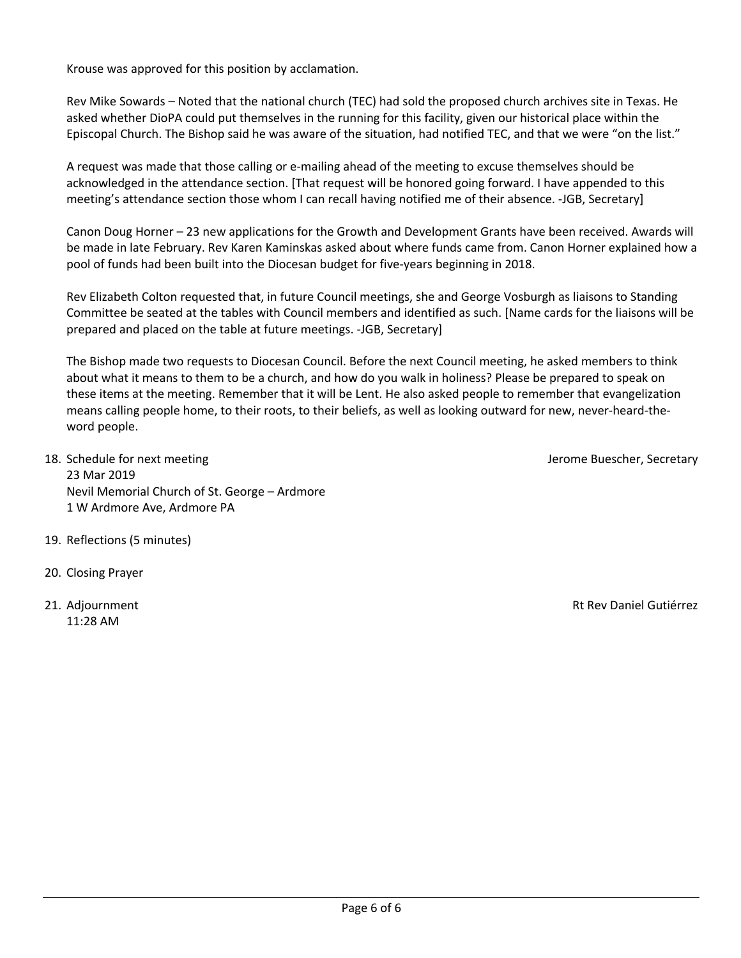Krouse was approved for this position by acclamation.

Rev Mike Sowards – Noted that the national church (TEC) had sold the proposed church archives site in Texas. He asked whether DioPA could put themselves in the running for this facility, given our historical place within the Episcopal Church. The Bishop said he was aware of the situation, had notified TEC, and that we were "on the list."

A request was made that those calling or e-mailing ahead of the meeting to excuse themselves should be acknowledged in the attendance section. [That request will be honored going forward. I have appended to this meeting's attendance section those whom I can recall having notified me of their absence. -JGB, Secretary]

Canon Doug Horner – 23 new applications for the Growth and Development Grants have been received. Awards will be made in late February. Rev Karen Kaminskas asked about where funds came from. Canon Horner explained how a pool of funds had been built into the Diocesan budget for five-years beginning in 2018.

Rev Elizabeth Colton requested that, in future Council meetings, she and George Vosburgh as liaisons to Standing Committee be seated at the tables with Council members and identified as such. [Name cards for the liaisons will be prepared and placed on the table at future meetings. -JGB, Secretary]

The Bishop made two requests to Diocesan Council. Before the next Council meeting, he asked members to think about what it means to them to be a church, and how do you walk in holiness? Please be prepared to speak on these items at the meeting. Remember that it will be Lent. He also asked people to remember that evangelization means calling people home, to their roots, to their beliefs, as well as looking outward for new, never-heard-theword people.

- 18. Schedule for next meeting and the state of the state of the state of the state of the state of the state of the state of the state of the state of the state of the state of the state of the state of the state of the st 23 Mar 2019 Nevil Memorial Church of St. George – Ardmore 1 W Ardmore Ave, Ardmore PA
- 19. Reflections (5 minutes)
- 20. Closing Prayer
- 11:28 AM

21. Adjournment Rt Rev Daniel Gutiérrez